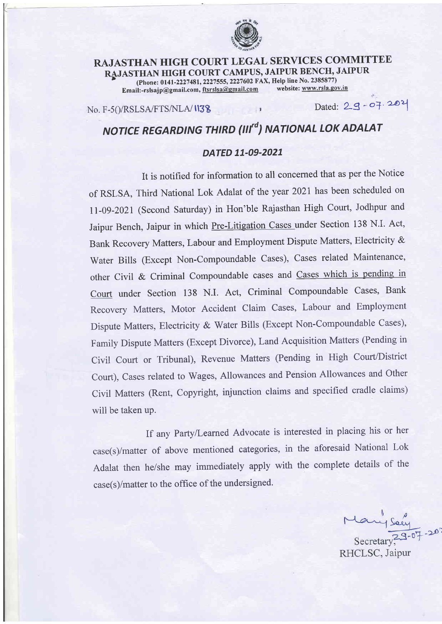

## RAJASTHAN HIGH COURT LEGAL SERVICES COMMITTEE RAJASTHAN HIGH COURT CAMPUS, JAIPUR BENCH, JAIPUR<br>
(Phone: 0141-2227481, 2227555, 2227602 FAX, Help line No. 2385877)<br>
Fmail:-rslsain@gmail.com, ffsrslsa@gmail.com, website: www.rsla.gov.in Email:-rslsajp@gmail.com, ftsrslsa@gmail.com

 $No. F-5() / RSLSA / FTS/NLA / 1138$ 

 $Dated: 29 - 07.202$ 

## NOTICE REGARDING THIRD (III<sup>rd</sup>) NATIONAL LOK ADALAT

## DATED 11-09-2021

It is notified for information to all concerned that as per the Notice of RSLSA, Third National Lok Adalat of the year 2021 has been scheduled on ll-09-2021 (Second Saturday) in Hon'ble Rajasthan High Court, Jodhpur and Jaipur Bench, Jaipur in which Pre-Litigation Cases under Section 138 N.I. Act, Bank Recovery Matters, Labour and Employment Dispute Matters, Electricity & Water Bills (Except Non-Compoundable Cases), Cases related Maintenance, other Civil & Criminal Compoundable cases and Cases which is pending in Court under Section 138 N.I. Act, Criminal Compoundable Cases, Bank Recovery Matters, Motor Accident Claim Cases, Labour and Employment Dispute Matters, Electricity & water Bills (Except Non-Compoundable cases), Family Dispute Matters (Except Divorce), Land Acquisition Matters (Pending in Civil Court or Tribunal), Revenue Matters (Pending in High Court/District Court), Cases related to Wages, Allowances and Pension Allowances and Other Civil Matters (Rent, Copyright, injunction claims and specified cradle claims) will be taken up.

If any PartylLearned Advocate is interested in placing his or her case(s)/matter of above mentioned categories, in the aforesaid National Lok Adalat then he/she may immediately apply with the complete details of the case(s)/matter to the office of the undersigned.

Mary Soey<br>Secretary 79-07-20" RHCLSC, Jaipur